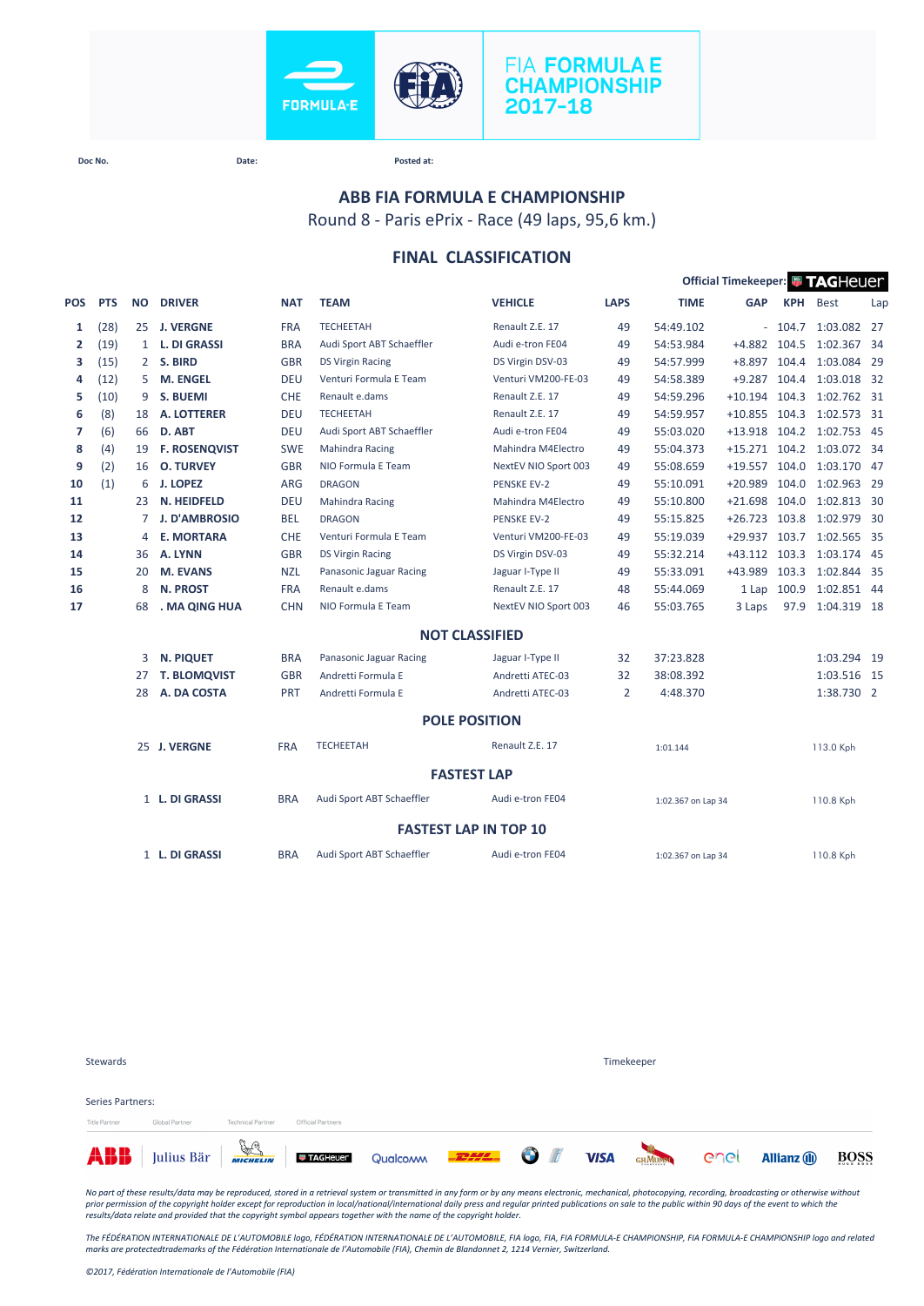

# **FIA FORMULA E CHAMPIONSHIP** 2017-18

**Doc No. Date: Posted at:**

## Round 8 - Paris ePrix - Race (49 laps, 95,6 km.) **ABB FIA FORMULA E CHAMPIONSHIP**

**FINAL CLASSIFICATION**

|                | Official Timekeeper: FAGHeuer<br><b>DRIVER</b><br><b>TEAM</b><br><b>VEHICLE</b><br><b>LAPS</b><br><b>TIME</b><br><b>GAP</b><br><b>KPH</b><br><b>PTS</b><br><b>NO</b><br><b>NAT</b> |              |                      |            |                           |                              |                |                    |                 |          |                           |     |
|----------------|------------------------------------------------------------------------------------------------------------------------------------------------------------------------------------|--------------|----------------------|------------|---------------------------|------------------------------|----------------|--------------------|-----------------|----------|---------------------------|-----|
| <b>POS</b>     |                                                                                                                                                                                    |              |                      |            |                           |                              |                |                    |                 |          | <b>Best</b>               | Lap |
| 1              | (28)                                                                                                                                                                               | 25           | <b>J. VERGNE</b>     | <b>FRA</b> | <b>TECHEETAH</b>          | Renault Z.E. 17              | 49             | 54:49.102          |                 | $-104.7$ | 1:03.082 27               |     |
| $\overline{2}$ | (19)                                                                                                                                                                               | $\mathbf{1}$ | <b>L. DI GRASSI</b>  | <b>BRA</b> | Audi Sport ABT Schaeffler | Audi e-tron FE04             | 49             | 54:53.984          | $+4.882$        | 104.5    | 1:02.367 34               |     |
| з              | (15)                                                                                                                                                                               | $2^{\circ}$  | S. BIRD              | <b>GBR</b> | <b>DS Virgin Racing</b>   | DS Virgin DSV-03             | 49             | 54:57.999          | $+8.897$        | 104.4    | 1:03.084 29               |     |
| 4              | (12)                                                                                                                                                                               | 5            | <b>M. ENGEL</b>      | <b>DEU</b> | Venturi Formula E Team    | Venturi VM200-FE-03          | 49             | 54:58.389          | $+9.287$        | 104.4    | 1:03.018 32               |     |
| 5              | (10)                                                                                                                                                                               | 9            | <b>S. BUEMI</b>      | CHE        | Renault e.dams            | Renault Z.E. 17              | 49             | 54:59.296          | $+10.194$ 104.3 |          | 1:02.762 31               |     |
| 6              | (8)                                                                                                                                                                                | 18           | A. LOTTERER          | <b>DEU</b> | <b>TECHEETAH</b>          | Renault Z.E. 17              | 49             | 54:59.957          | $+10.855$ 104.3 |          | 1:02.573 31               |     |
| 7              | (6)                                                                                                                                                                                | 66           | D. ABT               | <b>DEU</b> | Audi Sport ABT Schaeffler | Audi e-tron FE04             | 49             | 55:03.020          | $+13.918$       |          | 104.2 1:02.753 45         |     |
| 8              | (4)                                                                                                                                                                                | 19           | <b>F. ROSENQVIST</b> | <b>SWE</b> | Mahindra Racing           | Mahindra M4Electro           | 49             | 55:04.373          |                 |          | +15.271 104.2 1:03.072 34 |     |
| 9              | (2)                                                                                                                                                                                | 16           | <b>O. TURVEY</b>     | <b>GBR</b> | NIO Formula E Team        | NextEV NIO Sport 003         | 49             | 55:08.659          | $+19.557$       | 104.0    | 1:03.170 47               |     |
| 10             | (1)                                                                                                                                                                                | 6            | <b>J. LOPEZ</b>      | <b>ARG</b> | <b>DRAGON</b>             | <b>PENSKE EV-2</b>           | 49             | 55:10.091          | $+20.989$       | 104.0    | 1:02.963 29               |     |
| 11             |                                                                                                                                                                                    | 23           | N. HEIDFELD          | <b>DEU</b> | Mahindra Racing           | Mahindra M4Electro           | 49             | 55:10.800          | $+21.698$       | 104.0    | 1:02.813 30               |     |
| 12             |                                                                                                                                                                                    | 7            | <b>J. D'AMBROSIO</b> | <b>BEL</b> | <b>DRAGON</b>             | <b>PENSKE EV-2</b>           | 49             | 55:15.825          | $+26.723$       | 103.8    | 1:02.979 30               |     |
| 13             |                                                                                                                                                                                    | 4            | <b>E. MORTARA</b>    | <b>CHE</b> | Venturi Formula E Team    | Venturi VM200-FE-03          | 49             | 55:19.039          | $+29.937$       | 103.7    | 1:02.565 35               |     |
| 14             |                                                                                                                                                                                    | 36           | A. LYNN              | <b>GBR</b> | <b>DS Virgin Racing</b>   | DS Virgin DSV-03             | 49             | 55:32.214          | $+43.112$       | 103.3    | 1:03.174 45               |     |
| 15             |                                                                                                                                                                                    | 20           | <b>M. EVANS</b>      | <b>NZL</b> | Panasonic Jaguar Racing   | Jaguar I-Type II             | 49             | 55:33.091          | +43.989         | 103.3    | 1:02.844 35               |     |
| 16             |                                                                                                                                                                                    | 8            | <b>N. PROST</b>      | <b>FRA</b> | Renault e.dams            | Renault Z.E. 17              | 48             | 55:44.069          | 1 Lap           | 100.9    | 1:02.851 44               |     |
| 17             |                                                                                                                                                                                    | 68           | . MA QING HUA        | <b>CHN</b> | NIO Formula E Team        | NextEV NIO Sport 003         | 46             | 55:03.765          | 3 Laps          | 97.9     | 1:04.319 18               |     |
|                |                                                                                                                                                                                    |              |                      |            |                           | <b>NOT CLASSIFIED</b>        |                |                    |                 |          |                           |     |
|                |                                                                                                                                                                                    | 3            | <b>N. PIQUET</b>     | <b>BRA</b> | Panasonic Jaguar Racing   | Jaguar I-Type II             | 32             | 37:23.828          |                 |          | 1:03.294 19               |     |
|                |                                                                                                                                                                                    | 27           | <b>T. BLOMQVIST</b>  | <b>GBR</b> | Andretti Formula E        | Andretti ATEC-03             | 32             | 38:08.392          |                 |          | 1:03.516 15               |     |
|                |                                                                                                                                                                                    | 28           | A. DA COSTA          | PRT        | Andretti Formula E        | Andretti ATEC-03             | $\overline{2}$ | 4:48.370           |                 |          | 1:38.730 2                |     |
|                |                                                                                                                                                                                    |              |                      |            |                           | <b>POLE POSITION</b>         |                |                    |                 |          |                           |     |
|                |                                                                                                                                                                                    |              | 25 J. VERGNE         | <b>FRA</b> | <b>TECHEETAH</b>          | Renault Z.E. 17              |                | 1:01.144           |                 |          | 113.0 Kph                 |     |
|                |                                                                                                                                                                                    |              |                      |            |                           | <b>FASTEST LAP</b>           |                |                    |                 |          |                           |     |
|                |                                                                                                                                                                                    |              | 1 L. DI GRASSI       | <b>BRA</b> | Audi Sport ABT Schaeffler | Audi e-tron FE04             |                | 1:02.367 on Lap 34 |                 |          | 110.8 Kph                 |     |
|                |                                                                                                                                                                                    |              |                      |            |                           | <b>FASTEST LAP IN TOP 10</b> |                |                    |                 |          |                           |     |
|                |                                                                                                                                                                                    |              | 1 L. DI GRASSI       | <b>BRA</b> | Audi Sport ABT Schaeffler | Audi e-tron FE04             |                | 1:02.367 on Lap 34 |                 |          | 110.8 Kph                 |     |

| Stewards                          |                                                                                                   |                          |                   | Timekeeper |  |  |  |  |                     |             |  |
|-----------------------------------|---------------------------------------------------------------------------------------------------|--------------------------|-------------------|------------|--|--|--|--|---------------------|-------------|--|
| Series Partners:<br>Title Partner | Global Partner                                                                                    | <b>Technical Partner</b> | Official Partners |            |  |  |  |  |                     |             |  |
|                                   | <b>ABB</b> Julius Bär <b>Frage Little Constantine Cualcomm COLLECTED OF VISA</b> GAMERA COLLECTED |                          |                   |            |  |  |  |  | <b>Allianz</b> (ii) | <b>BOSS</b> |  |

*No part of these results/data may be reproduced, stored in a retrieval system or transmitted in any form or by any means electronic, mechanical, photocopying, recording, broadcasting or otherwise without*  prior permission of the copyright holder except for reproduction in local/national/international daily press and regular printed publications on sale to the public within 90 days of the event to which the<br>results/data rela

*The FÉDÉRATION INTERNATIONALE DE L'AUTOMOBILE logo, FÉDÉRATION INTERNATIONALE DE L'AUTOMOBILE, FIA logo, FIA, FIA FORMULA-E CHAMPIONSHIP, FIA FORMULA-E CHAMPIONSHIP logo and related marks are protectedtrademarks of the Fédération Internationale de l'Automobile (FIA), Chemin de Blandonnet 2, 1214 Vernier, Switzerland.*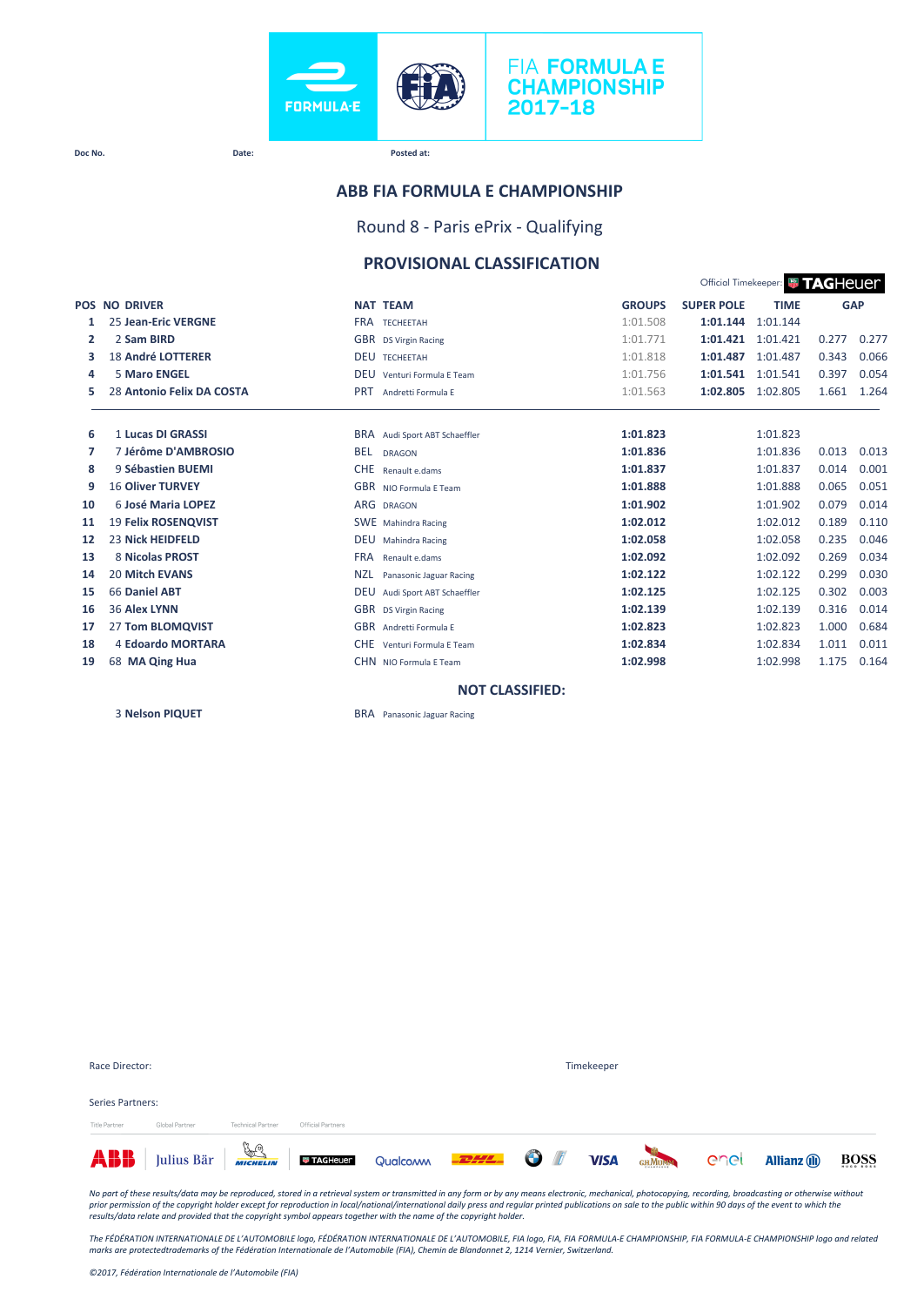

#### **Doc No. Date: Posted at:**

### **ABB FIA FORMULA E CHAMPIONSHIP**

Round 8 - Paris ePrix - Qualifying

### **PROVISIONAL CLASSIFICATION**

Official Timekeeper: **# TAGHeUer** 

|    | <b>POS NO DRIVER</b>       | <b>NAT TEAM</b>                         | <b>GROUPS</b> | <b>SUPER POLE</b> | <b>TIME</b> |       | <b>GAP</b> |
|----|----------------------------|-----------------------------------------|---------------|-------------------|-------------|-------|------------|
| 1  | <b>25 Jean-Eric VERGNE</b> | <b>FRA TECHEETAH</b>                    | 1:01.508      | 1:01.144          | 1:01.144    |       |            |
| 2  | 2 Sam BIRD                 | GBR DS Virgin Racing                    | 1:01.771      | 1:01.421          | 1:01.421    | 0.277 | 0.277      |
| з  | <b>18 André LOTTERER</b>   | <b>DEU TECHEETAH</b>                    | 1:01.818      | 1:01.487          | 1:01.487    | 0.343 | 0.066      |
| 4  | <b>5 Maro ENGEL</b>        | <b>DEU</b><br>Venturi Formula F Team    | 1:01.756      | 1:01.541          | 1:01.541    | 0.397 | 0.054      |
| 5  | 28 Antonio Felix DA COSTA  | <b>PRT</b><br>Andretti Formula E        | 1:01.563      | 1:02.805          | 1:02.805    | 1.661 | 1.264      |
| 6  | 1 Lucas DI GRASSI          | BRA Audi Sport ABT Schaeffler           | 1:01.823      |                   | 1:01.823    |       |            |
| 7  | 7 Jérôme D'AMBROSIO        | <b>BEL</b><br><b>DRAGON</b>             | 1:01.836      |                   | 1:01.836    | 0.013 | 0.013      |
| 8  | 9 Sébastien BUEMI          | <b>CHE</b><br>Renault e.dams            | 1:01.837      |                   | 1:01.837    | 0.014 | 0.001      |
| 9  | <b>16 Oliver TURVEY</b>    | GBR NIO Formula E Team                  | 1:01.888      |                   | 1:01.888    | 0.065 | 0.051      |
| 10 | 6 José Maria LOPEZ         | ARG DRAGON                              | 1:01.902      |                   | 1:01.902    | 0.079 | 0.014      |
| 11 | <b>19 Felix ROSENQVIST</b> | SWE Mahindra Racing                     | 1:02.012      |                   | 1:02.012    | 0.189 | 0.110      |
| 12 | <b>23 Nick HEIDFELD</b>    | <b>DEU</b><br>Mahindra Racing           | 1:02.058      |                   | 1:02.058    | 0.235 | 0.046      |
| 13 | 8 Nicolas PROST            | <b>FRA</b><br>Renault e.dams            | 1:02.092      |                   | 1:02.092    | 0.269 | 0.034      |
| 14 | <b>20 Mitch EVANS</b>      | <b>NZL</b><br>Panasonic Jaguar Racing   | 1:02.122      |                   | 1:02.122    | 0.299 | 0.030      |
| 15 | 66 Daniel ABT              | <b>DEU</b><br>Audi Sport ABT Schaeffler | 1:02.125      |                   | 1:02.125    | 0.302 | 0.003      |
| 16 | <b>36 Alex LYNN</b>        | GBR DS Virgin Racing                    | 1:02.139      |                   | 1:02.139    | 0.316 | 0.014      |
| 17 | 27 Tom BLOMQVIST           | GBR Andretti Formula E                  | 1:02.823      |                   | 1:02.823    | 1.000 | 0.684      |
| 18 | <b>4 Edoardo MORTARA</b>   | <b>CHE</b><br>Venturi Formula E Team    | 1:02.834      |                   | 1:02.834    | 1.011 | 0.011      |
| 19 | 68 MA Qing Hua             | CHN NIO Formula E Team                  | 1:02.998      |                   | 1:02.998    | 1.175 | 0.164      |
|    |                            | <b>NOT CLASSIFIED:</b>                  |               |                   |             |       |            |

**Nelson PIQUET** BRA Panasonic Jaguar Racing

| Race Director:       |                |                          |                   |                                                                                                 |  | Timekeeper |  |             |
|----------------------|----------------|--------------------------|-------------------|-------------------------------------------------------------------------------------------------|--|------------|--|-------------|
| Series Partners:     |                |                          |                   |                                                                                                 |  |            |  |             |
| <b>Title Partner</b> | Global Partner | <b>Technical Partner</b> | Official Partners | <b>ABB</b> Julius Bär <b>Francischer Guald Gualdown DELLE OF THE VISA</b> GRADEN CAC Allianz (D |  |            |  | <b>BOSS</b> |

*No part of these results/data may be reproduced, stored in a retrieval system or transmitted in any form or by any means electronic, mechanical, photocopying, recording, broadcasting or otherwise without*  prior permission of the copyright holder except for reproduction in local/national/international daily press and regular printed publications on sale to the public within 90 days of the event to which the<br>results/data rela

The FÉDÉRATION INTERNATIONALE DE L'AUTOMOBILE logo, FÉDÉRATION INTERNATIONALE DE L'AUTOMOBILE, FIA logo, FIA, FIA FORMULA-E CHAMPIONSHIP, FIA FORMULA-E CHAMPIONSHIP logo and related<br>marks are protectedtrademarks of the Féd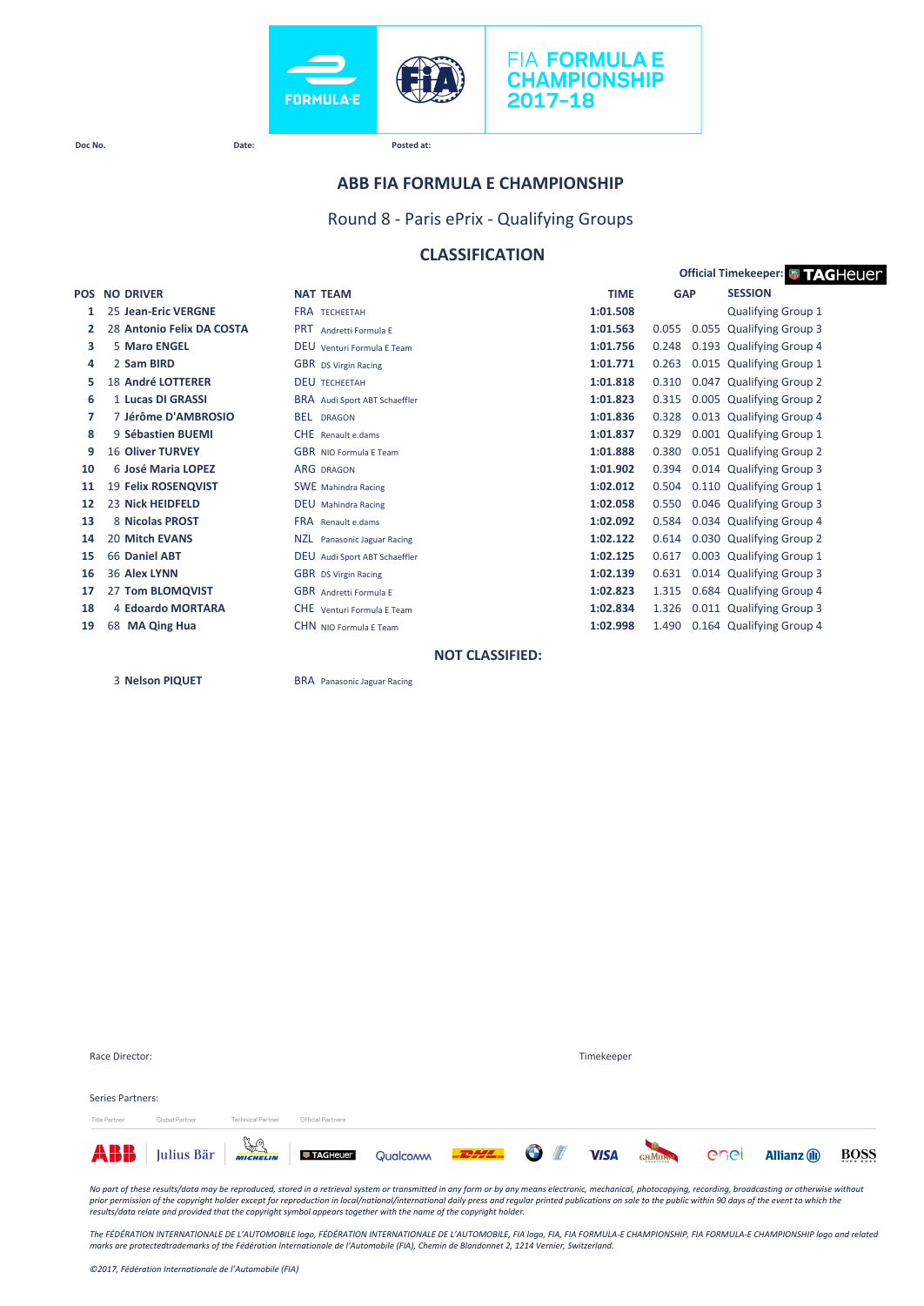



**Doc No. Date: Posted at:**

### **ABB FIA FORMULA E CHAMPIONSHIP**

Round 8 - Paris ePrix - Qualifying Groups

### **CLASSIFICATION**

|            |                           |                                  | <b>Official Timekeeper: # TAGHEUEr</b> |                |                           |  |  |  |
|------------|---------------------------|----------------------------------|----------------------------------------|----------------|---------------------------|--|--|--|
| <b>POS</b> | <b>NO DRIVER</b>          | <b>NAT TEAM</b>                  | <b>TIME</b>                            | <b>GAP</b>     | <b>SESSION</b>            |  |  |  |
| 1          | 25 Jean-Eric VERGNE       | <b>FRA TECHEFTAH</b>             | 1:01.508                               |                | <b>Qualifying Group 1</b> |  |  |  |
| 2          | 28 Antonio Felix DA COSTA | <b>PRT</b><br>Andretti Formula F | 1:01.563                               | 0.055<br>0.055 | <b>Qualifying Group 3</b> |  |  |  |
| з          | 5 Maro ENGEL              | DEU Venturi Formula E Team       | 1:01.756                               | 0.248          | 0.193 Qualifying Group 4  |  |  |  |
| 4          | 2 Sam BIRD                | <b>GBR</b> DS Virgin Racing      | 1:01.771                               | 0.263          | 0.015 Qualifying Group 1  |  |  |  |
| 5          | <b>18 André LOTTERER</b>  | <b>DEU TECHEETAH</b>             | 1:01.818                               | 0.310          | 0.047 Qualifying Group 2  |  |  |  |
| 6          | 1 Lucas DI GRASSI         | BRA Audi Sport ABT Schaeffler    | 1:01.823                               | 0.315          | 0.005 Qualifying Group 2  |  |  |  |
| 7          | 7 Jérôme D'AMBROSIO       | <b>BEL DRAGON</b>                | 1:01.836                               | 0.328          | 0.013 Qualifying Group 4  |  |  |  |
| 8          | 9 Sébastien BUEMI         | CHE Renault e.dams               | 1:01.837                               | 0.329          | 0.001 Qualifying Group 1  |  |  |  |
| 9          | <b>16 Oliver TURVEY</b>   | <b>GBR</b> NIO Formula E Team    | 1:01.888                               | 0.380          | 0.051 Qualifying Group 2  |  |  |  |
| 10         | 6 José Maria LOPEZ        | <b>ARG DRAGON</b>                | 1:01.902                               | 0.394          | 0.014 Qualifying Group 3  |  |  |  |
| 11         | 19 Felix ROSENQVIST       | <b>SWE</b> Mahindra Racing       | 1:02.012                               | 0.504          | 0.110 Qualifying Group 1  |  |  |  |
| 12         | 23 Nick HEIDFELD          | <b>DEU</b> Mahindra Racing       | 1:02.058                               | 0.550          | 0.046 Qualifying Group 3  |  |  |  |
| 13         | 8 Nicolas PROST           | <b>FRA</b> Renault e.dams        | 1:02.092                               | 0.584          | 0.034 Qualifying Group 4  |  |  |  |
| 14         | <b>20 Mitch EVANS</b>     | NZL.<br>Panasonic Jaguar Racing  | 1:02.122                               | 0.614          | 0.030 Qualifying Group 2  |  |  |  |
| 15         | 66 Daniel ABT             | DEU Audi Sport ABT Schaeffler    | 1:02.125                               | 0.617          | 0.003 Qualifying Group 1  |  |  |  |
| 16         | 36 Alex LYNN              | <b>GBR</b> DS Virgin Racing      | 1:02.139                               | 0.631          | 0.014 Qualifying Group 3  |  |  |  |
| 17         | 27 Tom BLOMQVIST          | <b>GBR</b> Andretti Formula E    | 1:02.823                               | 1.315          | 0.684 Qualifying Group 4  |  |  |  |
| 18         | 4 Edoardo MORTARA         | CHE Venturi Formula F Team       | 1:02.834                               | 1.326          | 0.011 Qualifying Group 3  |  |  |  |
| 19         | <b>MA Qing Hua</b><br>68  | CHN NIO Formula E Team           | 1:02.998                               | 1.490          | 0.164 Qualifying Group 4  |  |  |  |
|            |                           |                                  |                                        |                |                           |  |  |  |

 **NOT CLASSIFIED:**

**Nelson PIQUET** BRA Panasonic Jaguar Racing

|                  |                |                          |                   | <b>ABB</b> Julius Bär <b>Frage Julius Barretter Trace of Qualcomm COLLECTER COLLECTER OF THE VISA</b> GRADEN COLLECTER |  |  |  |  |            | <b>Allianz</b> (ii) | BOSS |  |  |  |  |  |
|------------------|----------------|--------------------------|-------------------|------------------------------------------------------------------------------------------------------------------------|--|--|--|--|------------|---------------------|------|--|--|--|--|--|
| Title Partner    | Global Partner | <b>Technical Partner</b> | Official Partners |                                                                                                                        |  |  |  |  |            |                     |      |  |  |  |  |  |
| Series Partners: |                |                          |                   |                                                                                                                        |  |  |  |  |            |                     |      |  |  |  |  |  |
|                  |                |                          |                   |                                                                                                                        |  |  |  |  |            |                     |      |  |  |  |  |  |
|                  | Race Director: |                          |                   |                                                                                                                        |  |  |  |  | Timekeeper |                     |      |  |  |  |  |  |

No part of these results/data may be reproduced, stored in a retrieval system or transmitted in any form or by any means electronic, mechanical, photocopying, recording, broadcasting or otherwise without<br>prior permission o

The FÉDÉRATION INTERNATIONALE DE L'AUTOMOBILE logo, FÉDÉRATION INTERNATIONALE DE L'AUTOMOBILE, FIA logo, FIA, FIA FORMULA-E CHAMPIONSHIP, FIA FORMULA-E CHAMPIONSHIP logo and related<br>marks are protectedtrademarks of the Féd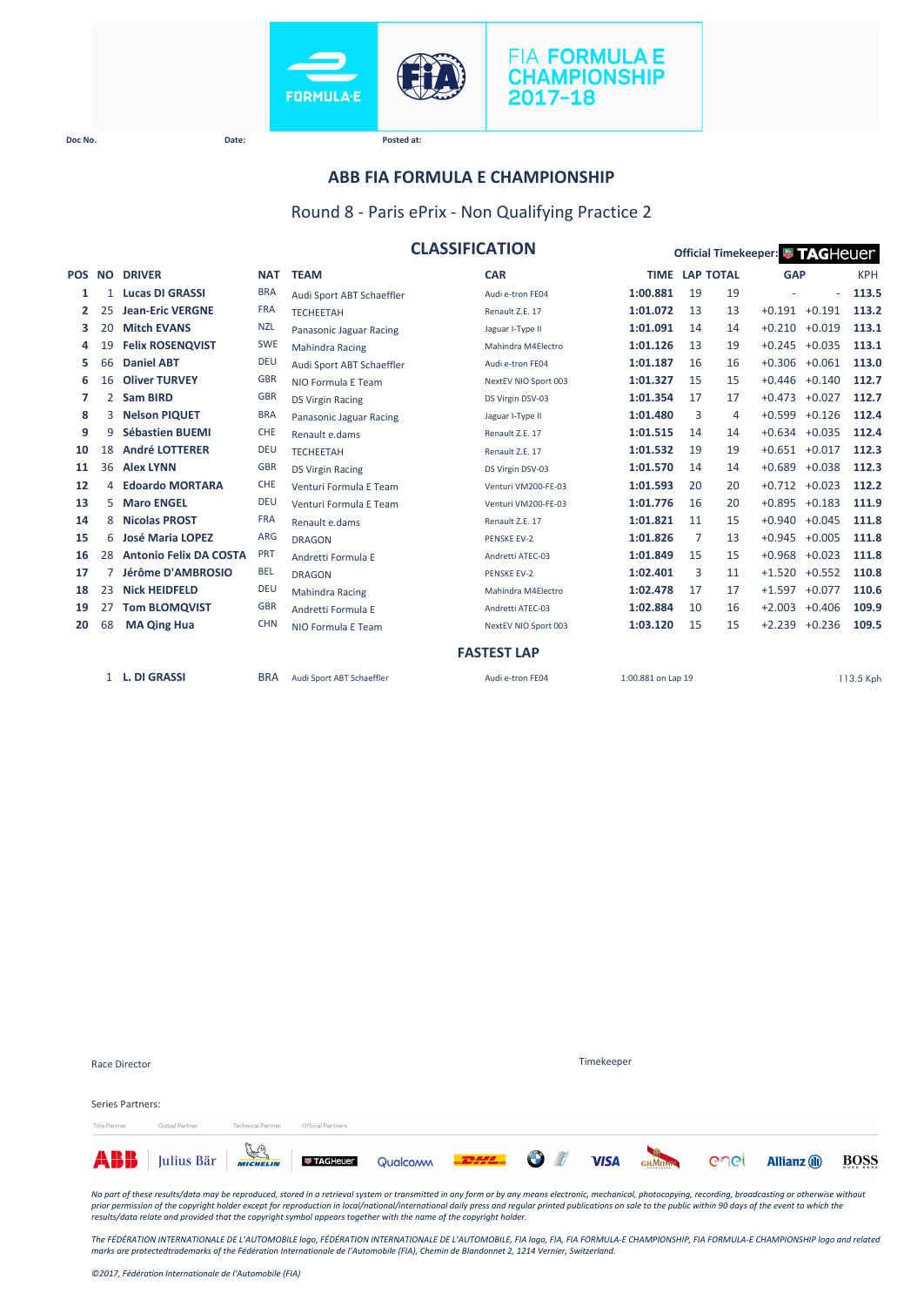



**Doc No. Date: Posted at:**

### **ABB FIA FORMULA E CHAMPIONSHIP**

### Round 8 - Paris ePrix - Non Qualifying Practice 2

|        |              |                               |            |                           | <b>CLASSIFICATION</b> |                    |                  |    | Official Timekeeper: <sup>1</sup> TAGHeuer |          |            |
|--------|--------------|-------------------------------|------------|---------------------------|-----------------------|--------------------|------------------|----|--------------------------------------------|----------|------------|
| POS NO |              | <b>DRIVER</b>                 | <b>NAT</b> | <b>TEAM</b>               | <b>CAR</b>            | <b>TIME</b>        | <b>LAP TOTAL</b> |    | <b>GAP</b>                                 |          | <b>KPH</b> |
| 1      |              | <b>Lucas DI GRASSI</b>        | <b>BRA</b> | Audi Sport ABT Schaeffler | Audi e-tron FE04      | 1:00.881           | 19               | 19 |                                            | ÷.       | 113.5      |
| 2      | 25           | <b>Jean-Eric VERGNE</b>       | <b>FRA</b> | <b>TECHEETAH</b>          | Renault Z.E. 17       | 1:01.072           | 13               | 13 | $+0.191$                                   | $+0.191$ | 113.2      |
| з      | 20           | <b>Mitch EVANS</b>            | <b>NZL</b> | Panasonic Jaguar Racing   | Jaguar I-Type II      | 1:01.091           | 14               | 14 | $+0.210$                                   | $+0.019$ | 113.1      |
| 4      | 19           | <b>Felix ROSENQVIST</b>       | <b>SWE</b> | <b>Mahindra Racing</b>    | Mahindra M4Electro    | 1:01.126           | 13               | 19 | $+0.245$                                   | $+0.035$ | 113.1      |
| 5      | 66           | <b>Daniel ABT</b>             | <b>DEU</b> | Audi Sport ABT Schaeffler | Audi e-tron FE04      | 1:01.187           | 16               | 16 | $+0.306$                                   | $+0.061$ | 113.0      |
| 6      | 16           | <b>Oliver TURVEY</b>          | <b>GBR</b> | NIO Formula E Team        | NextEV NIO Sport 003  | 1:01.327           | 15               | 15 | $+0.446$                                   | $+0.140$ | 112.7      |
| 7      | $\mathbf{2}$ | Sam BIRD                      | <b>GBR</b> | <b>DS Virgin Racing</b>   | DS Virgin DSV-03      | 1:01.354           | 17               | 17 | $+0.473$                                   | $+0.027$ | 112.7      |
| 8      | 3            | <b>Nelson PIQUET</b>          | <b>BRA</b> | Panasonic Jaguar Racing   | Jaguar I-Type II      | 1:01.480           | 3                | 4  | $+0.599$                                   | $+0.126$ | 112.4      |
| 9      | 9            | <b>Sébastien BUEMI</b>        | <b>CHE</b> | Renault e.dams            | Renault Z.E. 17       | 1:01.515           | 14               | 14 | $+0.634$                                   | $+0.035$ | 112.4      |
| 10     | 18           | <b>André LOTTERER</b>         | <b>DEU</b> | <b>TECHEETAH</b>          | Renault Z.E. 17       | 1:01.532           | 19               | 19 | $+0.651 + 0.017$                           |          | 112.3      |
| 11     | 36           | <b>Alex LYNN</b>              | <b>GBR</b> | <b>DS Virgin Racing</b>   | DS Virgin DSV-03      | 1:01.570           | 14               | 14 | $+0.689$                                   | $+0.038$ | 112.3      |
| 12     | 4            | <b>Edoardo MORTARA</b>        | <b>CHE</b> | Venturi Formula E Team    | Venturi VM200-FE-03   | 1:01.593           | 20               | 20 | $+0.712$                                   | $+0.023$ | 112.2      |
| 13     | 5.           | <b>Maro ENGEL</b>             | <b>DEU</b> | Venturi Formula E Team    | Venturi VM200-FE-03   | 1:01.776           | 16               | 20 | $+0.895$                                   | $+0.183$ | 111.9      |
| 14     | 8            | <b>Nicolas PROST</b>          | <b>FRA</b> | Renault e.dams            | Renault Z.E. 17       | 1:01.821           | 11               | 15 | $+0.940$                                   | $+0.045$ | 111.8      |
| 15     | 6            | <b>José Maria LOPEZ</b>       | <b>ARG</b> | <b>DRAGON</b>             | <b>PENSKE EV-2</b>    | 1:01.826           | 7                | 13 | $+0.945$                                   | $+0.005$ | 111.8      |
| 16     | 28           | <b>Antonio Felix DA COSTA</b> | <b>PRT</b> | Andretti Formula E        | Andretti ATEC-03      | 1:01.849           | 15               | 15 | $+0.968$                                   | $+0.023$ | 111.8      |
| 17     |              | Jérôme D'AMBROSIO             | <b>BEL</b> | <b>DRAGON</b>             | <b>PENSKE EV-2</b>    | 1:02.401           | 3                | 11 | $+1.520$                                   | $+0.552$ | 110.8      |
| 18     | 23           | <b>Nick HEIDFELD</b>          | <b>DEU</b> | <b>Mahindra Racing</b>    | Mahindra M4Electro    | 1:02.478           | 17               | 17 | $+1.597$                                   | $+0.077$ | 110.6      |
| 19     | 27           | <b>Tom BLOMQVIST</b>          | <b>GBR</b> | Andretti Formula E        | Andretti ATEC-03      | 1:02.884           | 10               | 16 | $+2.003$                                   | $+0.406$ | 109.9      |
| 20     | 68           | <b>MA Qing Hua</b>            | <b>CHN</b> | NIO Formula E Team        | NextEV NIO Sport 003  | 1:03.120           | 15               | 15 | $+2.239$                                   | $+0.236$ | 109.5      |
|        |              |                               |            |                           | <b>FASTEST LAP</b>    |                    |                  |    |                                            |          |            |
|        |              | 1 L. DI GRASSI                | <b>BRA</b> | Audi Sport ABT Schaeffler | Audi e-tron FE04      | 1:00.881 on Lap 19 |                  |    |                                            |          | 113.5 Kph  |

|                  | ABB Julius Bär <b>Finanzia De Lagrange</b> Qualcom <b>2044.</b> O F VISA |                          |                   |  |            | GHMUMM Cnel | <b>Allianz</b> (ii) | BOSS |
|------------------|--------------------------------------------------------------------------|--------------------------|-------------------|--|------------|-------------|---------------------|------|
| Title Partner    | Global Partner                                                           | <b>Technical Partner</b> | Official Partners |  |            |             |                     |      |
| Series Partners: |                                                                          |                          |                   |  |            |             |                     |      |
| Race Director    |                                                                          |                          |                   |  | Timekeeper |             |                     |      |

No part of these results/data may be reproduced, stored in a retrieval system or transmitted in any form or by any means electronic, mechanical, photocopying, recording, broadcasting or otherwise without<br>prior permission o

*The FÉDÉRATION INTERNATIONALE DE L'AUTOMOBILE logo, FÉDÉRATION INTERNATIONALE DE L'AUTOMOBILE, FIA logo, FIA, FIA FORMULA-E CHAMPIONSHIP, FIA FORMULA-E CHAMPIONSHIP logo and related marks are protectedtrademarks of the Fédération Internationale de l'Automobile (FIA), Chemin de Blandonnet 2, 1214 Vernier, Switzerland.*